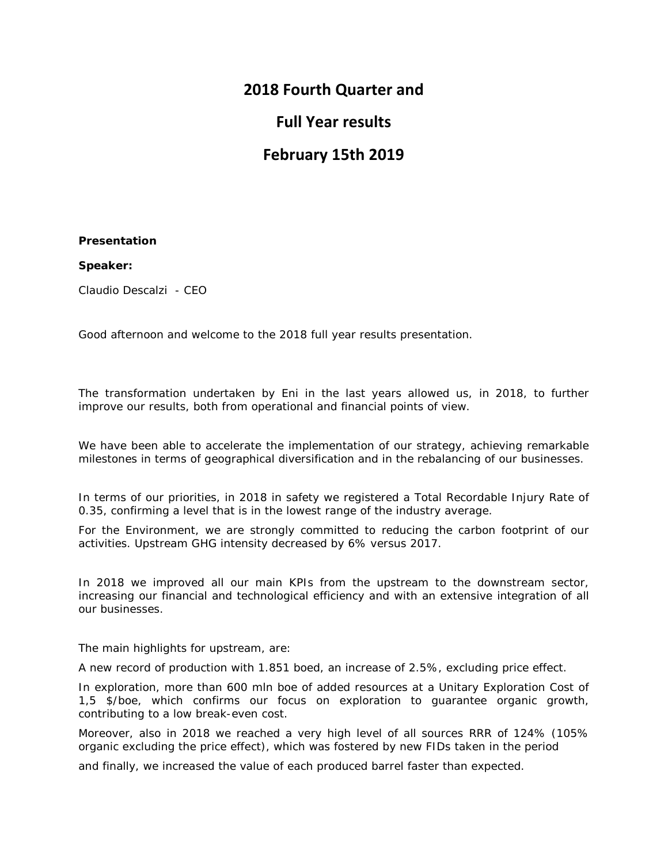## **2018 Fourth Quarter and**

## **Full Year results**

# **February 15th 2019**

### **Presentation**

### **Speaker:**

Claudio Descalzi - CEO

Good afternoon and welcome to the 2018 full year results presentation.

The transformation undertaken by Eni in the last years allowed us, in 2018, to further improve our results, both from operational and financial points of view.

We have been able to accelerate the implementation of our strategy, achieving remarkable milestones in terms of geographical diversification and in the rebalancing of our businesses.

In terms of our priorities, in 2018 in safety we registered a Total Recordable Injury Rate of 0.35, confirming a level that is in the lowest range of the industry average.

For the Environment, we are strongly committed to reducing the carbon footprint of our activities. Upstream GHG intensity decreased by 6% versus 2017.

In 2018 we improved all our main KPIs from the upstream to the downstream sector, increasing our financial and technological efficiency and with an extensive integration of all our businesses.

The main highlights for upstream, are:

A new record of production with 1.851 boed, an increase of 2.5%, excluding price effect.

In exploration, more than 600 mln boe of added resources at a Unitary Exploration Cost of 1,5 \$/boe, which confirms our focus on exploration to guarantee organic growth, contributing to a low break-even cost.

Moreover, also in 2018 we reached a very high level of all sources RRR of 124% (105% organic excluding the price effect), which was fostered by new FIDs taken in the period

and finally, we increased the value of each produced barrel faster than expected.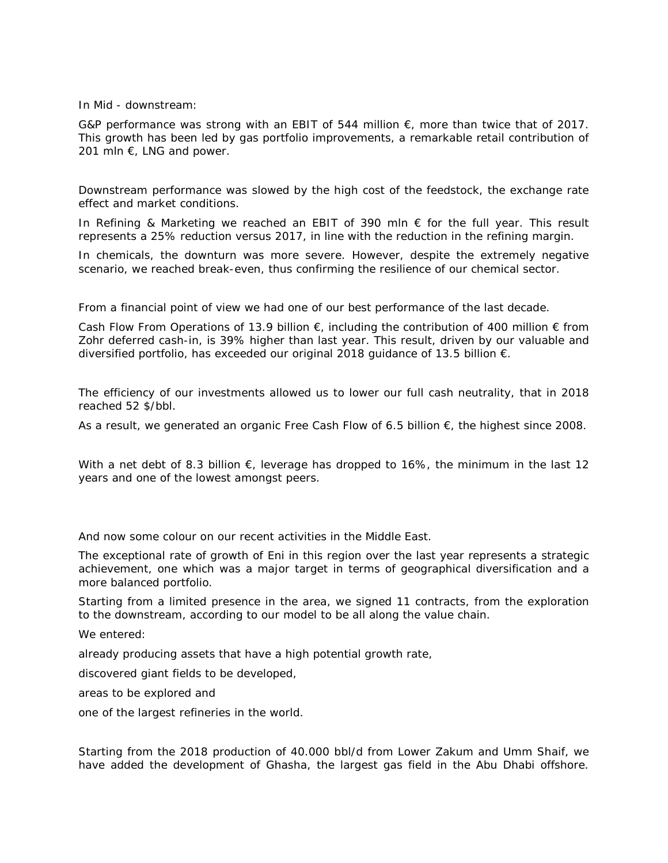#### In Mid - downstream:

G&P performance was strong with an EBIT of 544 million  $\epsilon$ , more than twice that of 2017. This growth has been led by gas portfolio improvements, a remarkable retail contribution of 201 mln  $\epsilon$ , LNG and power.

Downstream performance was slowed by the high cost of the feedstock, the exchange rate effect and market conditions.

In Refining & Marketing we reached an EBIT of 390 mln  $\epsilon$  for the full year. This result represents a 25% reduction versus 2017, in line with the reduction in the refining margin.

In chemicals, the downturn was more severe. However, despite the extremely negative scenario, we reached break-even, thus confirming the resilience of our chemical sector.

From a financial point of view we had one of our best performance of the last decade.

Cash Flow From Operations of 13.9 billion  $\epsilon$ , including the contribution of 400 million  $\epsilon$  from Zohr deferred cash-in, is 39% higher than last year. This result, driven by our valuable and diversified portfolio, has exceeded our original 2018 guidance of 13.5 billion  $\epsilon$ .

The efficiency of our investments allowed us to lower our full cash neutrality, that in 2018 reached 52 \$/bbl.

As a result, we generated an organic Free Cash Flow of 6.5 billion €, the highest since 2008.

With a net debt of 8.3 billion  $\epsilon$ , leverage has dropped to 16%, the minimum in the last 12 years and one of the lowest amongst peers.

And now some colour on our recent activities in the Middle East.

The exceptional rate of growth of Eni in this region over the last year represents a strategic achievement, one which was a major target in terms of geographical diversification and a more balanced portfolio.

Starting from a limited presence in the area, we signed 11 contracts, from the exploration to the downstream, according to our model to be all along the value chain.

We entered:

already producing assets that have a high potential growth rate,

discovered giant fields to be developed,

areas to be explored and

one of the largest refineries in the world.

Starting from the 2018 production of 40.000 bbl/d from Lower Zakum and Umm Shaif, we have added the development of Ghasha, the largest gas field in the Abu Dhabi offshore.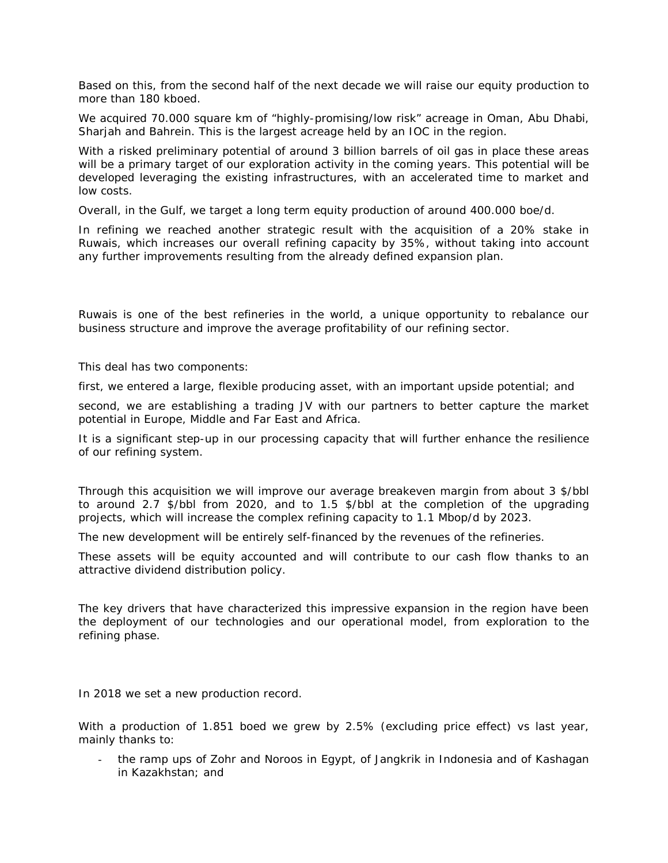Based on this, from the second half of the next decade we will raise our equity production to more than 180 kboed.

We acquired 70.000 square km of "highly-promising/low risk" acreage in Oman, Abu Dhabi, Sharjah and Bahrein. This is the largest acreage held by an IOC in the region.

With a risked preliminary potential of around 3 billion barrels of oil gas in place these areas will be a primary target of our exploration activity in the coming years. This potential will be developed leveraging the existing infrastructures, with an accelerated time to market and low costs.

Overall, in the Gulf, we target a long term equity production of around 400.000 boe/d.

In refining we reached another strategic result with the acquisition of a 20% stake in Ruwais, which increases our overall refining capacity by 35%, without taking into account any further improvements resulting from the already defined expansion plan.

Ruwais is one of the best refineries in the world, a unique opportunity to rebalance our business structure and improve the average profitability of our refining sector.

This deal has two components:

first, we entered a large, flexible producing asset, with an important upside potential; and

second, we are establishing a trading JV with our partners to better capture the market potential in Europe, Middle and Far East and Africa.

It is a significant step-up in our processing capacity that will further enhance the resilience of our refining system.

Through this acquisition we will improve our average breakeven margin from about 3 \$/bbl to around 2.7 \$/bbl from 2020, and to 1.5 \$/bbl at the completion of the upgrading projects, which will increase the complex refining capacity to 1.1 Mbop/d by 2023.

The new development will be entirely self-financed by the revenues of the refineries.

These assets will be equity accounted and will contribute to our cash flow thanks to an attractive dividend distribution policy.

The key drivers that have characterized this impressive expansion in the region have been the deployment of our technologies and our operational model, from exploration to the refining phase.

In 2018 we set a new production record.

With a production of 1.851 boed we grew by 2.5% (excluding price effect) vs last year, mainly thanks to:

the ramp ups of Zohr and Noroos in Egypt, of Jangkrik in Indonesia and of Kashagan in Kazakhstan; and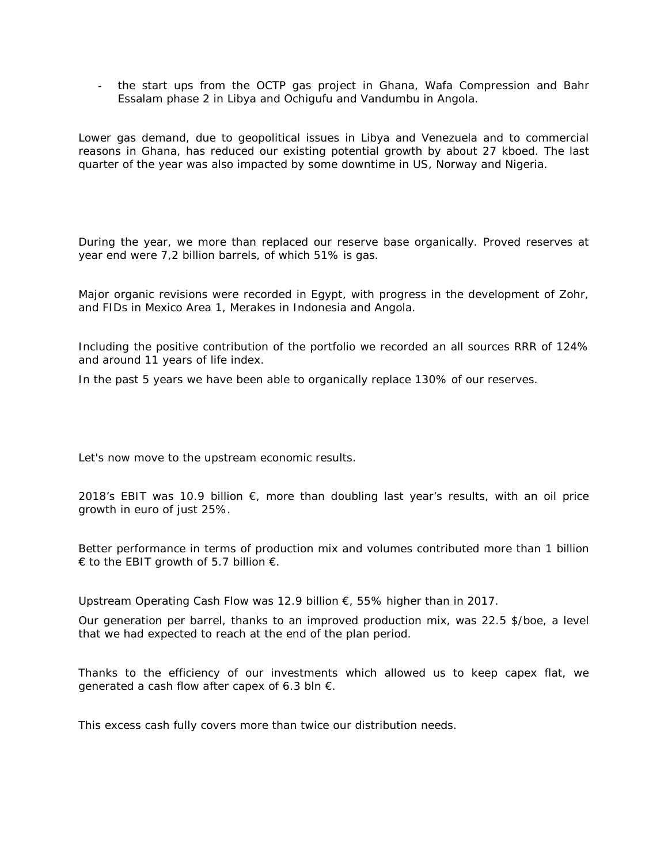- the start ups from the OCTP gas project in Ghana, Wafa Compression and Bahr Essalam phase 2 in Libya and Ochigufu and Vandumbu in Angola.

Lower gas demand, due to geopolitical issues in Libya and Venezuela and to commercial reasons in Ghana, has reduced our existing potential growth by about 27 kboed. The last quarter of the year was also impacted by some downtime in US, Norway and Nigeria.

During the year, we more than replaced our reserve base organically. Proved reserves at year end were 7,2 billion barrels, of which 51% is gas.

Major organic revisions were recorded in Egypt, with progress in the development of Zohr, and FIDs in Mexico Area 1, Merakes in Indonesia and Angola.

Including the positive contribution of the portfolio we recorded an all sources RRR of 124% and around 11 years of life index.

In the past 5 years we have been able to organically replace 130% of our reserves.

Let's now move to the upstream economic results.

2018's EBIT was 10.9 billion  $\epsilon$ , more than doubling last year's results, with an oil price growth in euro of just 25%.

Better performance in terms of production mix and volumes contributed more than 1 billion € to the EBIT growth of 5.7 billion  $€$ .

Upstream Operating Cash Flow was 12.9 billion €, 55% higher than in 2017.

Our generation per barrel, thanks to an improved production mix, was 22.5 \$/boe, a level that we had expected to reach at the end of the plan period.

Thanks to the efficiency of our investments which allowed us to keep capex flat, we generated a cash flow after capex of 6.3 bln  $\epsilon$ .

This excess cash fully covers more than twice our distribution needs.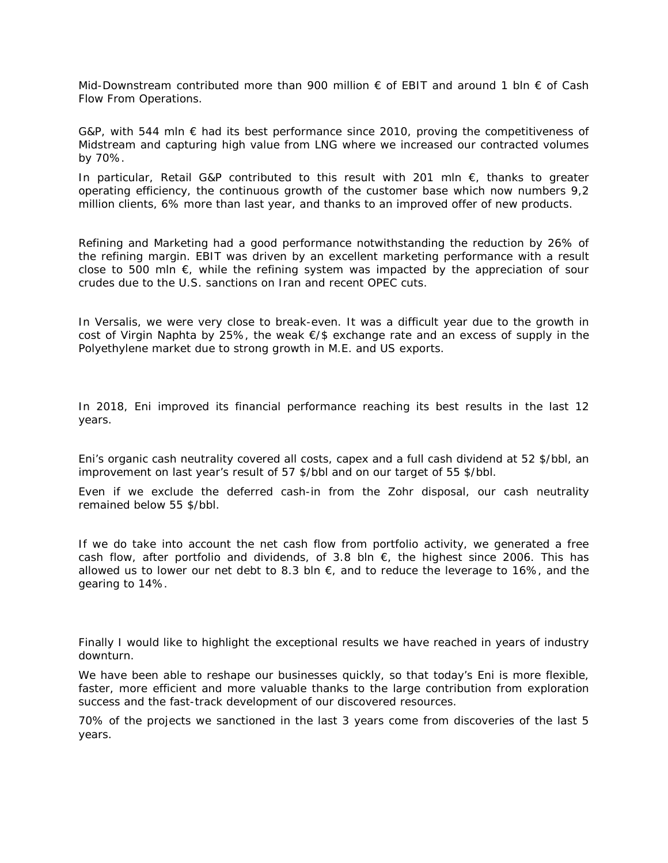Mid-Downstream contributed more than 900 million € of EBIT and around 1 bln € of Cash Flow From Operations.

G&P, with 544 mln  $\epsilon$  had its best performance since 2010, proving the competitiveness of Midstream and capturing high value from LNG where we increased our contracted volumes by 70%.

In particular, Retail G&P contributed to this result with 201 mln  $\epsilon$ , thanks to greater operating efficiency, the continuous growth of the customer base which now numbers 9,2 million clients, 6% more than last year, and thanks to an improved offer of new products.

Refining and Marketing had a good performance notwithstanding the reduction by 26% of the refining margin. EBIT was driven by an excellent marketing performance with a result close to 500 mln  $\epsilon$ , while the refining system was impacted by the appreciation of sour crudes due to the U.S. sanctions on Iran and recent OPEC cuts.

In Versalis, we were very close to break-even. It was a difficult year due to the growth in cost of Virgin Naphta by 25%, the weak €/\$ exchange rate and an excess of supply in the Polyethylene market due to strong growth in M.E. and US exports.

In 2018, Eni improved its financial performance reaching its best results in the last 12 years.

Eni's organic cash neutrality covered all costs, capex and a full cash dividend at 52 \$/bbl, an improvement on last year's result of 57 \$/bbl and on our target of 55 \$/bbl.

Even if we exclude the deferred cash-in from the Zohr disposal, our cash neutrality remained below 55 \$/bbl.

If we do take into account the net cash flow from portfolio activity, we generated a free cash flow, after portfolio and dividends, of 3.8 bln  $\epsilon$ , the highest since 2006. This has allowed us to lower our net debt to 8.3 bln  $\epsilon$ , and to reduce the leverage to 16%, and the gearing to 14%.

Finally I would like to highlight the exceptional results we have reached in years of industry downturn.

We have been able to reshape our businesses quickly, so that today's Eni is more flexible, faster, more efficient and more valuable thanks to the large contribution from exploration success and the fast-track development of our discovered resources.

70% of the projects we sanctioned in the last 3 years come from discoveries of the last 5 years.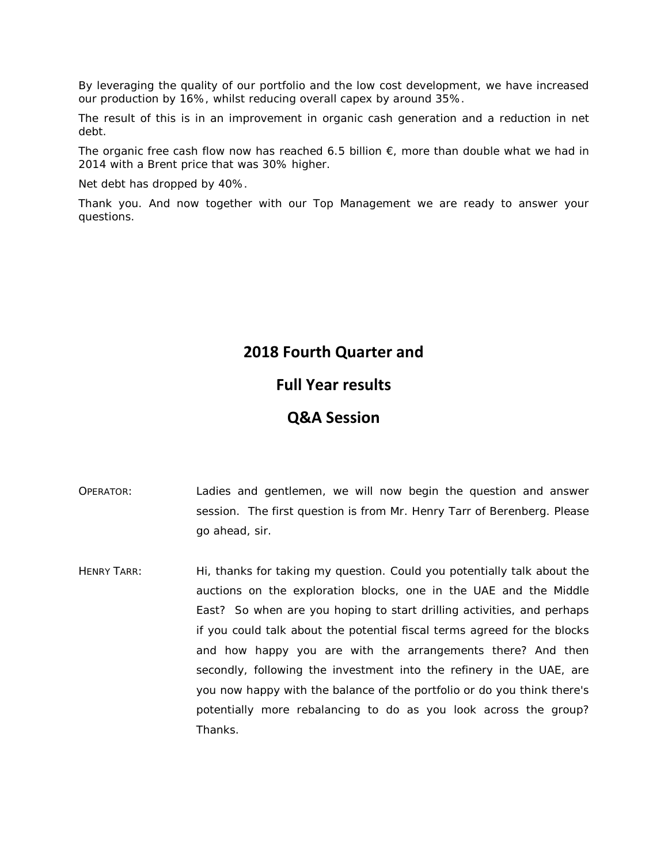By leveraging the quality of our portfolio and the low cost development, we have increased our production by 16%, whilst reducing overall capex by around 35%.

The result of this is in an improvement in organic cash generation and a reduction in net debt.

The organic free cash flow now has reached 6.5 billion  $\epsilon$ , more than double what we had in 2014 with a Brent price that was 30% higher.

Net debt has dropped by 40%.

Thank you. And now together with our Top Management we are ready to answer your questions.

### **2018 Fourth Quarter and**

### **Full Year results**

### **Q&A Session**

- OPERATOR: Ladies and gentlemen, we will now begin the question and answer session. The first question is from Mr. Henry Tarr of Berenberg. Please go ahead, sir.
- HENRY TARR: Hi, thanks for taking my question. Could you potentially talk about the auctions on the exploration blocks, one in the UAE and the Middle East? So when are you hoping to start drilling activities, and perhaps if you could talk about the potential fiscal terms agreed for the blocks and how happy you are with the arrangements there? And then secondly, following the investment into the refinery in the UAE, are you now happy with the balance of the portfolio or do you think there's potentially more rebalancing to do as you look across the group? Thanks.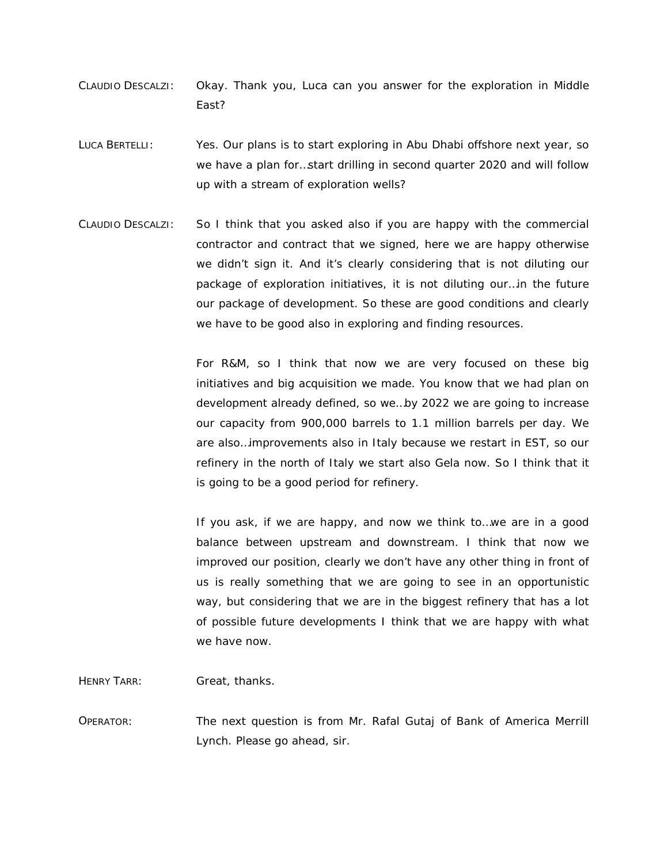- CLAUDIO DESCALZI: Okay. Thank you, Luca can you answer for the exploration in Middle East?
- LUCA BERTELLI: Yes. Our plans is to start exploring in Abu Dhabi offshore next year, so we have a plan for…start drilling in second quarter 2020 and will follow up with a stream of exploration wells?
- CLAUDIO DESCALZI: So I think that you asked also if you are happy with the commercial contractor and contract that we signed, here we are happy otherwise we didn't sign it. And it's clearly considering that is not diluting our package of exploration initiatives, it is not diluting our…in the future our package of development. So these are good conditions and clearly we have to be good also in exploring and finding resources.

For R&M, so I think that now we are very focused on these big initiatives and big acquisition we made. You know that we had plan on development already defined, so we…by 2022 we are going to increase our capacity from 900,000 barrels to 1.1 million barrels per day. We are also…improvements also in Italy because we restart in EST, so our refinery in the north of Italy we start also Gela now. So I think that it is going to be a good period for refinery.

If you ask, if we are happy, and now we think to…we are in a good balance between upstream and downstream. I think that now we improved our position, clearly we don't have any other thing in front of us is really something that we are going to see in an opportunistic way, but considering that we are in the biggest refinery that has a lot of possible future developments I think that we are happy with what we have now.

HENRY TARR: Great, thanks.

OPERATOR: The next question is from Mr. Rafal Gutaj of Bank of America Merrill Lynch. Please go ahead, sir.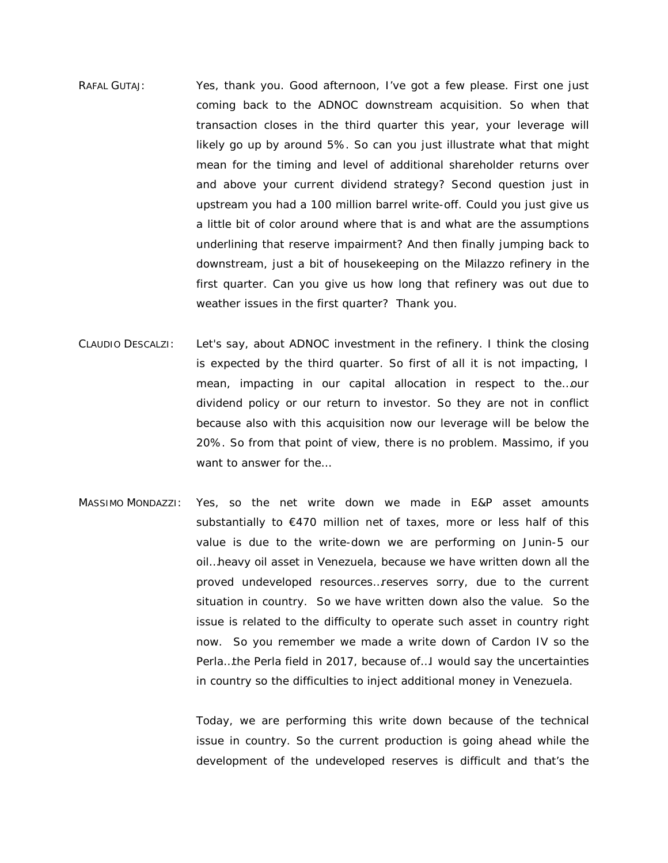- RAFAL GUTAJ: Yes, thank you. Good afternoon, I've got a few please. First one just coming back to the ADNOC downstream acquisition. So when that transaction closes in the third quarter this year, your leverage will likely go up by around 5%. So can you just illustrate what that might mean for the timing and level of additional shareholder returns over and above your current dividend strategy? Second question just in upstream you had a 100 million barrel write-off. Could you just give us a little bit of color around where that is and what are the assumptions underlining that reserve impairment? And then finally jumping back to downstream, just a bit of housekeeping on the Milazzo refinery in the first quarter. Can you give us how long that refinery was out due to weather issues in the first quarter? Thank you.
- CLAUDIO DESCALZI: Let's say, about ADNOC investment in the refinery. I think the closing is expected by the third quarter. So first of all it is not impacting, I mean, impacting in our capital allocation in respect to the…our dividend policy or our return to investor. So they are not in conflict because also with this acquisition now our leverage will be below the 20%. So from that point of view, there is no problem. Massimo, if you want to answer for the…
- MASSIMO MONDAZZI: Yes, so the net write down we made in E&P asset amounts substantially to  $\epsilon$ 470 million net of taxes, more or less half of this value is due to the write-down we are performing on Junin-5 our oil…heavy oil asset in Venezuela, because we have written down all the proved undeveloped resources…reserves sorry, due to the current situation in country. So we have written down also the value. So the issue is related to the difficulty to operate such asset in country right now. So you remember we made a write down of Cardon IV so the Perla…the Perla field in 2017, because of…I would say the uncertainties in country so the difficulties to inject additional money in Venezuela.

Today, we are performing this write down because of the technical issue in country. So the current production is going ahead while the development of the undeveloped reserves is difficult and that's the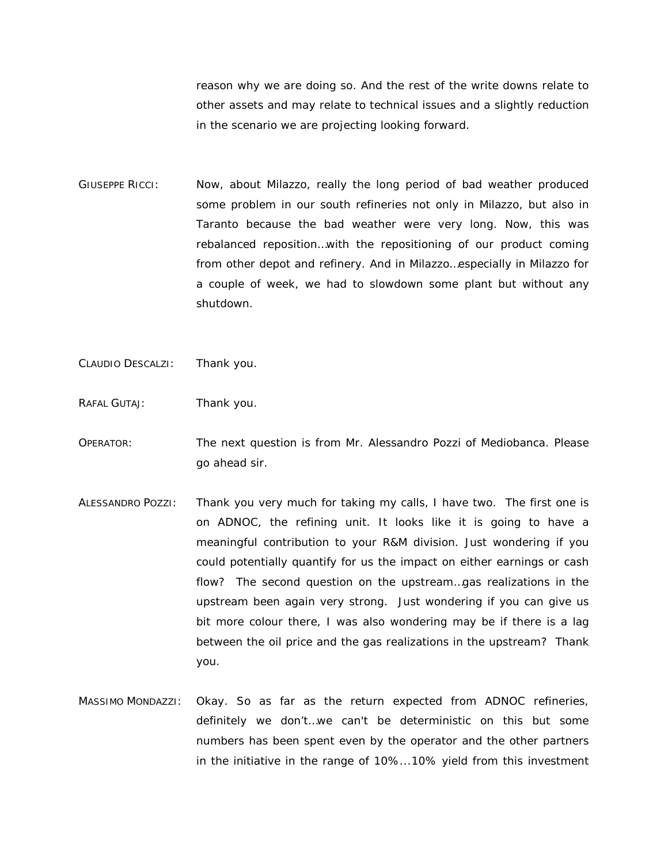reason why we are doing so. And the rest of the write downs relate to other assets and may relate to technical issues and a slightly reduction in the scenario we are projecting looking forward.

- GIUSEPPE RICCI: Now, about Milazzo, really the long period of bad weather produced some problem in our south refineries not only in Milazzo, but also in Taranto because the bad weather were very long. Now, this was rebalanced reposition…with the repositioning of our product coming from other depot and refinery. And in Milazzo…especially in Milazzo for a couple of week, we had to slowdown some plant but without any shutdown.
- CLAUDIO DESCALZI: Thank you.
- RAFAL GUTAJ: Thank you.
- OPERATOR: The next question is from Mr. Alessandro Pozzi of Mediobanca. Please go ahead sir.
- ALESSANDRO POZZI: Thank you very much for taking my calls, I have two. The first one is on ADNOC, the refining unit. It looks like it is going to have a meaningful contribution to your R&M division. Just wondering if you could potentially quantify for us the impact on either earnings or cash flow? The second question on the upstream…gas realizations in the upstream been again very strong. Just wondering if you can give us bit more colour there, I was also wondering may be if there is a lag between the oil price and the gas realizations in the upstream? Thank you.
- MASSIMO MONDAZZI: Okay. So as far as the return expected from ADNOC refineries, definitely we don't…we can't be deterministic on this but some numbers has been spent even by the operator and the other partners in the initiative in the range of 10%...10% yield from this investment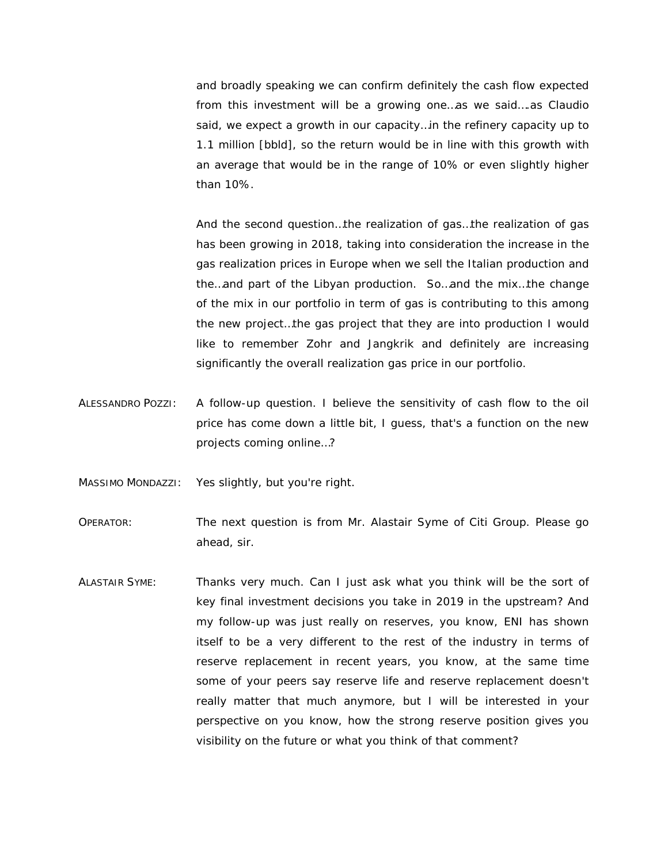and broadly speaking we can confirm definitely the cash flow expected from this investment will be a growing one…as we said….as Claudio said, we expect a growth in our capacity…in the refinery capacity up to 1.1 million [bbld], so the return would be in line with this growth with an average that would be in the range of 10% or even slightly higher than 10%.

And the second question…the realization of gas…the realization of gas has been growing in 2018, taking into consideration the increase in the gas realization prices in Europe when we sell the Italian production and the…and part of the Libyan production. So…and the mix…the change of the mix in our portfolio in term of gas is contributing to this among the new project…the gas project that they are into production I would like to remember Zohr and Jangkrik and definitely are increasing significantly the overall realization gas price in our portfolio.

ALESSANDRO POZZI: A follow-up question. I believe the sensitivity of cash flow to the oil price has come down a little bit, I guess, that's a function on the new projects coming online…?

MASSIMO MONDAZZI: Yes slightly, but you're right.

OPERATOR: The next question is from Mr. Alastair Syme of Citi Group. Please go ahead, sir.

ALASTAIR SYME: Thanks very much. Can I just ask what you think will be the sort of key final investment decisions you take in 2019 in the upstream? And my follow-up was just really on reserves, you know, ENI has shown itself to be a very different to the rest of the industry in terms of reserve replacement in recent years, you know, at the same time some of your peers say reserve life and reserve replacement doesn't really matter that much anymore, but I will be interested in your perspective on you know, how the strong reserve position gives you visibility on the future or what you think of that comment?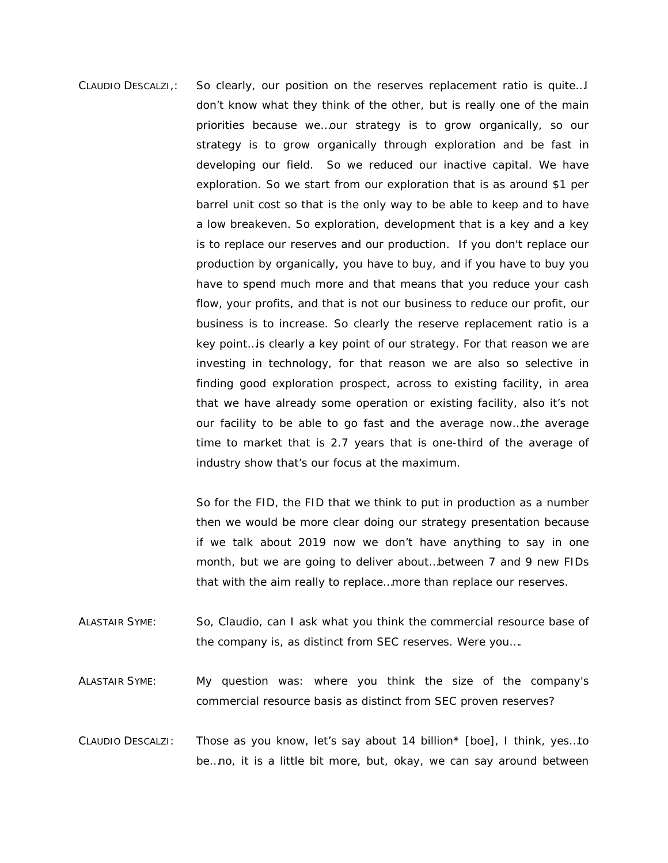CLAUDIO DESCALZI,: So clearly, our position on the reserves replacement ratio is quite…I don't know what they think of the other, but is really one of the main priorities because we…our strategy is to grow organically, so our strategy is to grow organically through exploration and be fast in developing our field. So we reduced our inactive capital. We have exploration. So we start from our exploration that is as around \$1 per barrel unit cost so that is the only way to be able to keep and to have a low breakeven. So exploration, development that is a key and a key is to replace our reserves and our production. If you don't replace our production by organically, you have to buy, and if you have to buy you have to spend much more and that means that you reduce your cash flow, your profits, and that is not our business to reduce our profit, our business is to increase. So clearly the reserve replacement ratio is a key point…is clearly a key point of our strategy. For that reason we are investing in technology, for that reason we are also so selective in finding good exploration prospect, across to existing facility, in area that we have already some operation or existing facility, also it's not our facility to be able to go fast and the average now…the average time to market that is 2.7 years that is one-third of the average of industry show that's our focus at the maximum.

> So for the FID, the FID that we think to put in production as a number then we would be more clear doing our strategy presentation because if we talk about 2019 now we don't have anything to say in one month, but we are going to deliver about…between 7 and 9 new FIDs that with the aim really to replace…more than replace our reserves.

- ALASTAIR SYME: So, Claudio, can I ask what you think the commercial resource base of the company is, as distinct from SEC reserves. Were you….
- ALASTAIR SYME: My question was: where you think the size of the company's commercial resource basis as distinct from SEC proven reserves?
- CLAUDIO DESCALZI: Those as you know, let's say about 14 billion\* [boe], I think, yes…to be…no, it is a little bit more, but, okay, we can say around between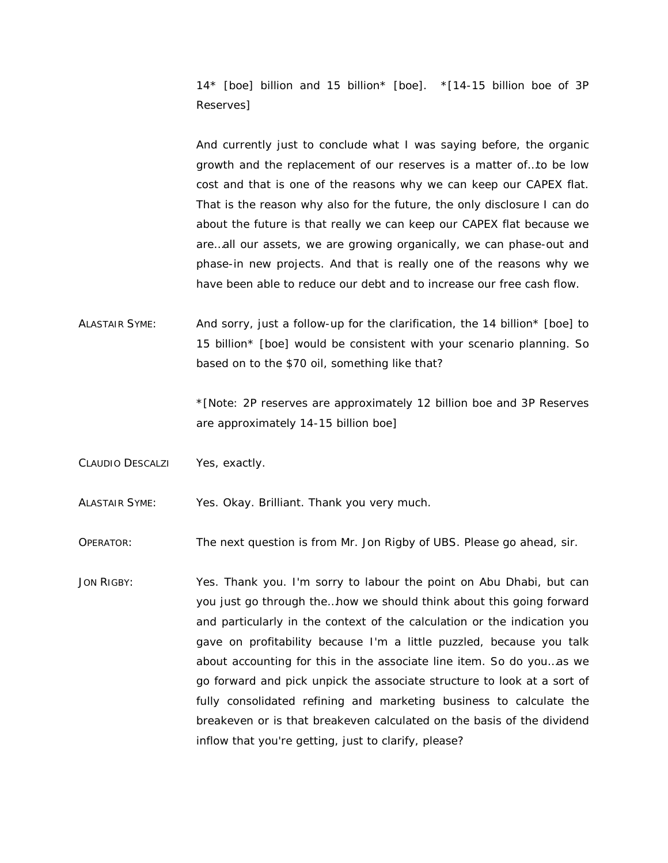14\* [boe] billion and 15 billion\* [boe]. *\*[14-15 billion boe of 3P Reserves]*

And currently just to conclude what I was saying before, the organic growth and the replacement of our reserves is a matter of…to be low cost and that is one of the reasons why we can keep our CAPEX flat. That is the reason why also for the future, the only disclosure I can do about the future is that really we can keep our CAPEX flat because we are…all our assets, we are growing organically, we can phase-out and phase-in new projects. And that is really one of the reasons why we have been able to reduce our debt and to increase our free cash flow.

ALASTAIR SYME: And sorry, just a follow-up for the clarification, the 14 billion\* [boe] to 15 billion\* [boe] would be consistent with your scenario planning. So based on to the \$70 oil, something like that?

> *\*[Note: 2P reserves are approximately 12 billion boe and 3P Reserves are approximately 14-15 billion boe]*

CLAUDIO DESCALZI Yes, exactly.

ALASTAIR SYME: Yes. Okay. Brilliant. Thank you very much.

OPERATOR: The next question is from Mr. Jon Rigby of UBS. Please go ahead, sir.

JON RIGBY: Yes. Thank you. I'm sorry to labour the point on Abu Dhabi, but can you just go through the…how we should think about this going forward and particularly in the context of the calculation or the indication you gave on profitability because I'm a little puzzled, because you talk about accounting for this in the associate line item. So do you…as we go forward and pick unpick the associate structure to look at a sort of fully consolidated refining and marketing business to calculate the breakeven or is that breakeven calculated on the basis of the dividend inflow that you're getting, just to clarify, please?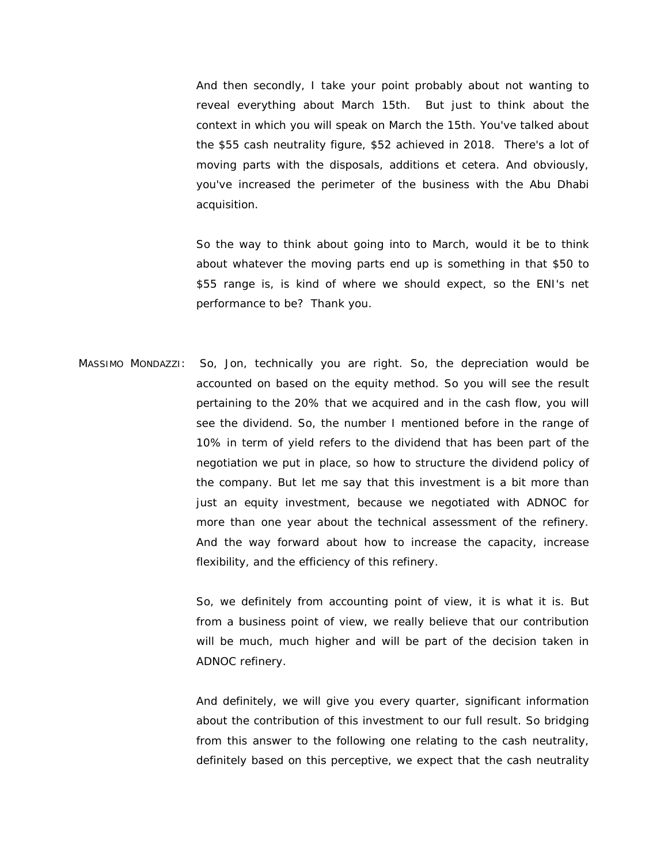And then secondly, I take your point probably about not wanting to reveal everything about March 15th. But just to think about the context in which you will speak on March the 15th. You've talked about the \$55 cash neutrality figure, \$52 achieved in 2018. There's a lot of moving parts with the disposals, additions et cetera. And obviously, you've increased the perimeter of the business with the Abu Dhabi acquisition.

So the way to think about going into to March, would it be to think about whatever the moving parts end up is something in that \$50 to \$55 range is, is kind of where we should expect, so the ENI's net performance to be? Thank you.

MASSIMO MONDAZZI: So, Jon, technically you are right. So, the depreciation would be accounted on based on the equity method. So you will see the result pertaining to the 20% that we acquired and in the cash flow, you will see the dividend. So, the number I mentioned before in the range of 10% in term of yield refers to the dividend that has been part of the negotiation we put in place, so how to structure the dividend policy of the company. But let me say that this investment is a bit more than just an equity investment, because we negotiated with ADNOC for more than one year about the technical assessment of the refinery. And the way forward about how to increase the capacity, increase flexibility, and the efficiency of this refinery.

> So, we definitely from accounting point of view, it is what it is. But from a business point of view, we really believe that our contribution will be much, much higher and will be part of the decision taken in ADNOC refinery.

> And definitely, we will give you every quarter, significant information about the contribution of this investment to our full result. So bridging from this answer to the following one relating to the cash neutrality, definitely based on this perceptive, we expect that the cash neutrality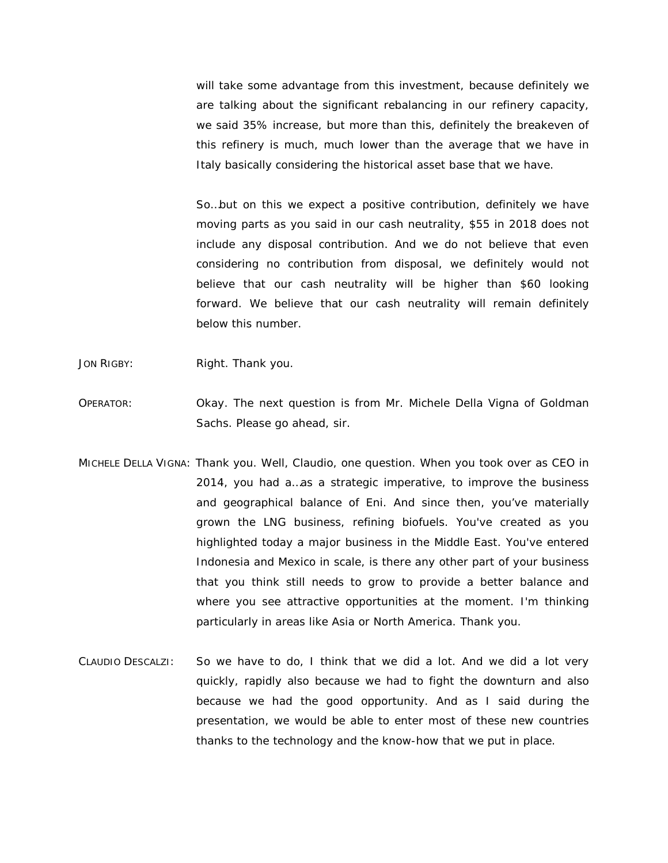will take some advantage from this investment, because definitely we are talking about the significant rebalancing in our refinery capacity, we said 35% increase, but more than this, definitely the breakeven of this refinery is much, much lower than the average that we have in Italy basically considering the historical asset base that we have.

So…but on this we expect a positive contribution, definitely we have moving parts as you said in our cash neutrality, \$55 in 2018 does not include any disposal contribution. And we do not believe that even considering no contribution from disposal, we definitely would not believe that our cash neutrality will be higher than \$60 looking forward. We believe that our cash neutrality will remain definitely below this number.

- JON RIGBY: Right. Thank you.
- OPERATOR: Okay. The next question is from Mr. Michele Della Vigna of Goldman Sachs. Please go ahead, sir.
- MICHELE DELLA VIGNA: Thank you. Well, Claudio, one question. When you took over as CEO in 2014, you had a…as a strategic imperative, to improve the business and geographical balance of Eni. And since then, you've materially grown the LNG business, refining biofuels. You've created as you highlighted today a major business in the Middle East. You've entered Indonesia and Mexico in scale, is there any other part of your business that you think still needs to grow to provide a better balance and where you see attractive opportunities at the moment. I'm thinking particularly in areas like Asia or North America. Thank you.
- CLAUDIO DESCALZI: So we have to do, I think that we did a lot. And we did a lot very quickly, rapidly also because we had to fight the downturn and also because we had the good opportunity. And as I said during the presentation, we would be able to enter most of these new countries thanks to the technology and the know-how that we put in place.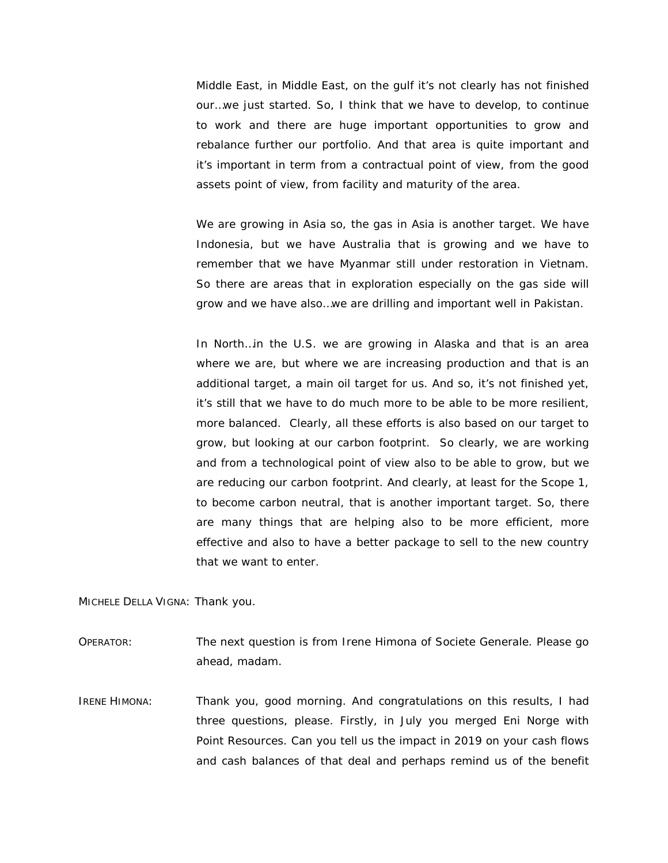Middle East, in Middle East, on the gulf it's not clearly has not finished our…we just started. So, I think that we have to develop, to continue to work and there are huge important opportunities to grow and rebalance further our portfolio. And that area is quite important and it's important in term from a contractual point of view, from the good assets point of view, from facility and maturity of the area.

We are growing in Asia so, the gas in Asia is another target. We have Indonesia, but we have Australia that is growing and we have to remember that we have Myanmar still under restoration in Vietnam. So there are areas that in exploration especially on the gas side will grow and we have also…we are drilling and important well in Pakistan.

In North…in the U.S. we are growing in Alaska and that is an area where we are, but where we are increasing production and that is an additional target, a main oil target for us. And so, it's not finished yet, it's still that we have to do much more to be able to be more resilient, more balanced. Clearly, all these efforts is also based on our target to grow, but looking at our carbon footprint. So clearly, we are working and from a technological point of view also to be able to grow, but we are reducing our carbon footprint. And clearly, at least for the Scope 1, to become carbon neutral, that is another important target. So, there are many things that are helping also to be more efficient, more effective and also to have a better package to sell to the new country that we want to enter.

MICHELE DELLA VIGNA: Thank you.

OPERATOR: The next question is from Irene Himona of Societe Generale. Please go ahead, madam.

IRENE HIMONA: Thank you, good morning. And congratulations on this results, I had three questions, please. Firstly, in July you merged Eni Norge with Point Resources. Can you tell us the impact in 2019 on your cash flows and cash balances of that deal and perhaps remind us of the benefit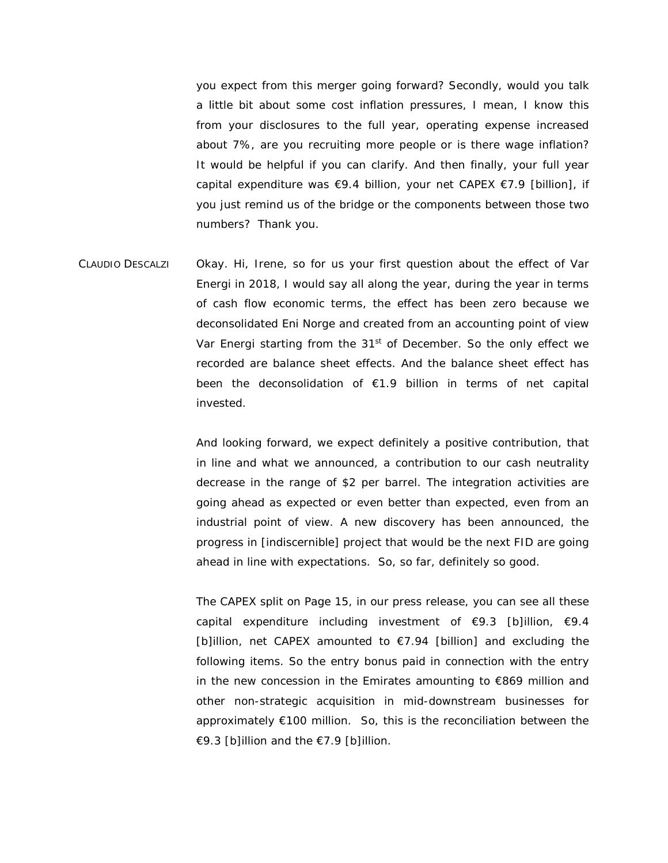you expect from this merger going forward? Secondly, would you talk a little bit about some cost inflation pressures, I mean, I know this from your disclosures to the full year, operating expense increased about 7%, are you recruiting more people or is there wage inflation? It would be helpful if you can clarify. And then finally, your full year capital expenditure was €9.4 billion, your net CAPEX €7.9 [billion], if you just remind us of the bridge or the components between those two numbers? Thank you.

CLAUDIO DESCALZI Okay. Hi, Irene, so for us your first question about the effect of Var Energi in 2018, I would say all along the year, during the year in terms of cash flow economic terms, the effect has been zero because we deconsolidated Eni Norge and created from an accounting point of view Var Energi starting from the  $31<sup>st</sup>$  of December. So the only effect we recorded are balance sheet effects. And the balance sheet effect has been the deconsolidation of €1.9 billion in terms of net capital invested.

> And looking forward, we expect definitely a positive contribution, that in line and what we announced, a contribution to our cash neutrality decrease in the range of \$2 per barrel. The integration activities are going ahead as expected or even better than expected, even from an industrial point of view. A new discovery has been announced, the progress in [indiscernible] project that would be the next FID are going ahead in line with expectations. So, so far, definitely so good.

> The CAPEX split on Page 15, in our press release, you can see all these capital expenditure including investment of  $\epsilon$ 9.3 [b]illion,  $\epsilon$ 9.4 [b]illion, net CAPEX amounted to €7.94 [billion] and excluding the following items. So the entry bonus paid in connection with the entry in the new concession in the Emirates amounting to €869 million and other non-strategic acquisition in mid-downstream businesses for approximately €100 million. So, this is the reconciliation between the €9.3 [b]illion and the €7.9 [b]illion.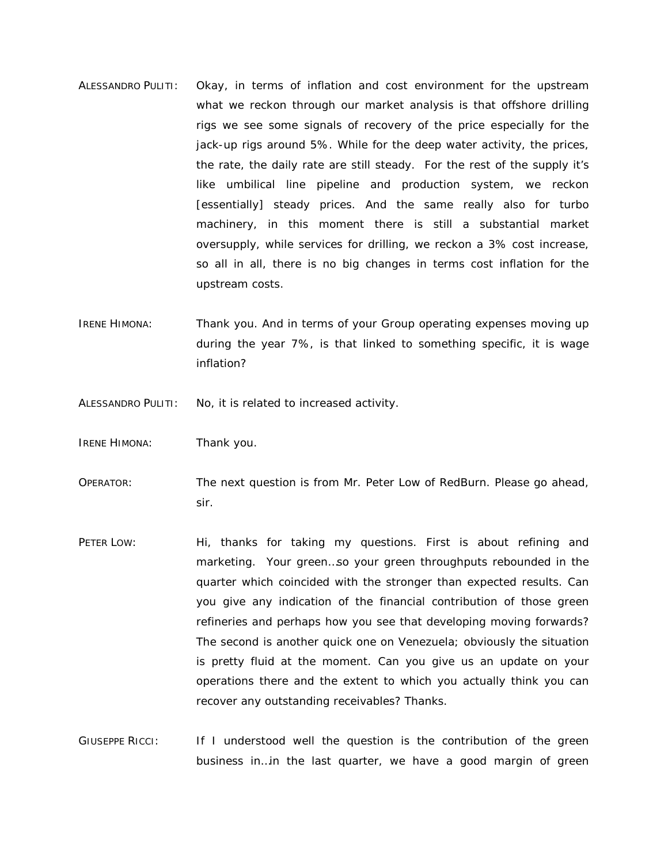- ALESSANDRO PULITI: Okay, in terms of inflation and cost environment for the upstream what we reckon through our market analysis is that offshore drilling rigs we see some signals of recovery of the price especially for the jack-up rigs around 5%. While for the deep water activity, the prices, the rate, the daily rate are still steady. For the rest of the supply it's like umbilical line pipeline and production system, we reckon [essentially] steady prices. And the same really also for turbo machinery, in this moment there is still a substantial market oversupply, while services for drilling, we reckon a 3% cost increase, so all in all, there is no big changes in terms cost inflation for the upstream costs.
- IRENE HIMONA: Thank you. And in terms of your Group operating expenses moving up during the year 7%, is that linked to something specific, it is wage inflation?

ALESSANDRO PULITI: No, it is related to increased activity.

- IRENE HIMONA: Thank you.
- OPERATOR: The next question is from Mr. Peter Low of RedBurn. Please go ahead, sir.
- PETER LOW: Hi, thanks for taking my questions. First is about refining and marketing. Your green…so your green throughputs rebounded in the quarter which coincided with the stronger than expected results. Can you give any indication of the financial contribution of those green refineries and perhaps how you see that developing moving forwards? The second is another quick one on Venezuela; obviously the situation is pretty fluid at the moment. Can you give us an update on your operations there and the extent to which you actually think you can recover any outstanding receivables? Thanks.
- GIUSEPPE RICCI: If I understood well the question is the contribution of the green business in…in the last quarter, we have a good margin of green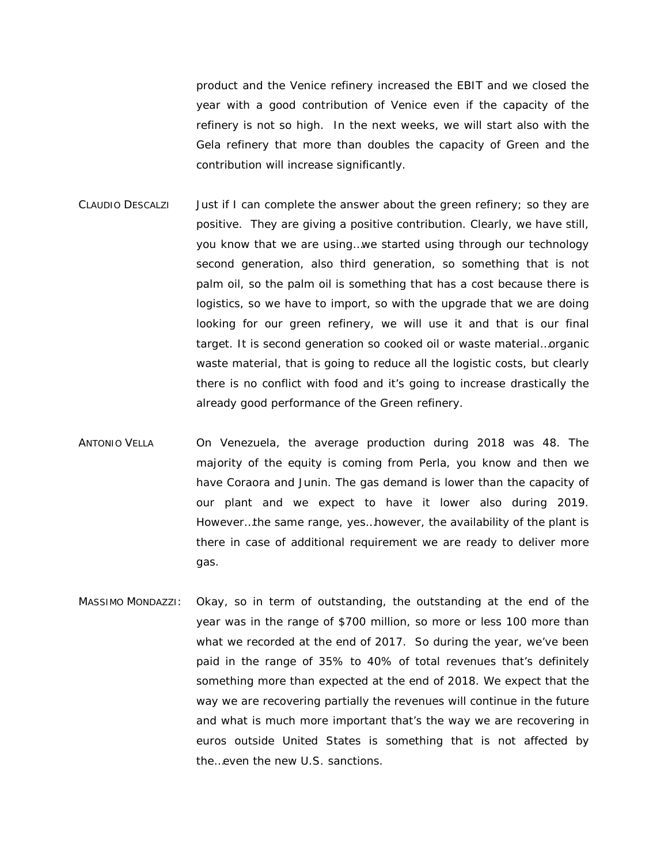product and the Venice refinery increased the EBIT and we closed the year with a good contribution of Venice even if the capacity of the refinery is not so high. In the next weeks, we will start also with the Gela refinery that more than doubles the capacity of Green and the contribution will increase significantly.

- CLAUDIO DESCALZI Just if I can complete the answer about the green refinery; so they are positive. They are giving a positive contribution. Clearly, we have still, you know that we are using…we started using through our technology second generation, also third generation, so something that is not palm oil, so the palm oil is something that has a cost because there is logistics, so we have to import, so with the upgrade that we are doing looking for our green refinery, we will use it and that is our final target. It is second generation so cooked oil or waste material…organic waste material, that is going to reduce all the logistic costs, but clearly there is no conflict with food and it's going to increase drastically the already good performance of the Green refinery.
- ANTONIO VELLA On Venezuela, the average production during 2018 was 48. The majority of the equity is coming from Perla, you know and then we have Coraora and Junin. The gas demand is lower than the capacity of our plant and we expect to have it lower also during 2019. However…the same range, yes…however, the availability of the plant is there in case of additional requirement we are ready to deliver more gas.
- MASSIMO MONDAZZI: Okay, so in term of outstanding, the outstanding at the end of the year was in the range of \$700 million, so more or less 100 more than what we recorded at the end of 2017. So during the year, we've been paid in the range of 35% to 40% of total revenues that's definitely something more than expected at the end of 2018. We expect that the way we are recovering partially the revenues will continue in the future and what is much more important that's the way we are recovering in euros outside United States is something that is not affected by the…even the new U.S. sanctions.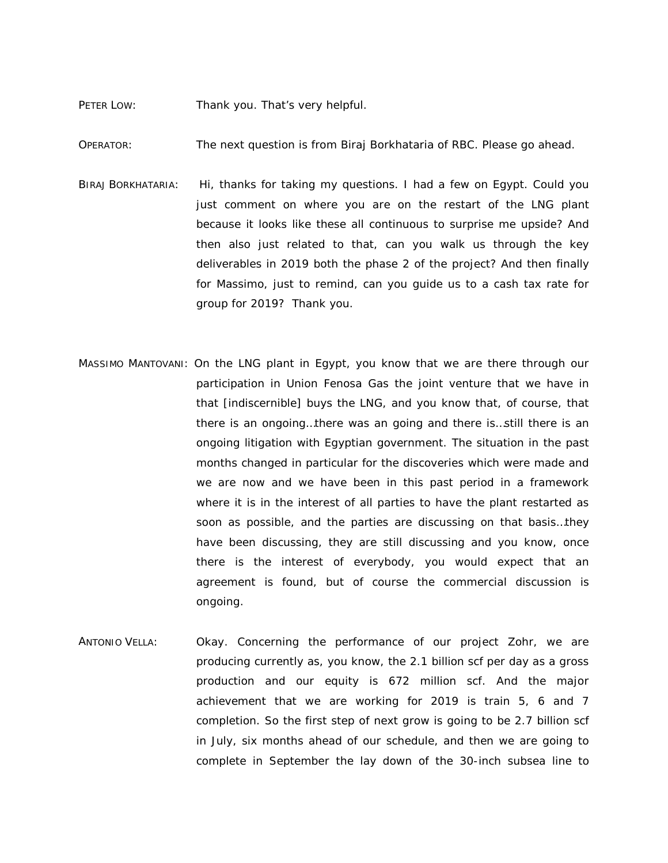#### PETER LOW: Thank you. That's very helpful.

OPERATOR: The next question is from Biraj Borkhataria of RBC. Please go ahead.

- BIRAJ BORKHATARIA: Hi, thanks for taking my questions. I had a few on Egypt. Could you just comment on where you are on the restart of the LNG plant because it looks like these all continuous to surprise me upside? And then also just related to that, can you walk us through the key deliverables in 2019 both the phase 2 of the project? And then finally for Massimo, just to remind, can you guide us to a cash tax rate for group for 2019? Thank you.
- MASSIMO MANTOVANI: On the LNG plant in Egypt, you know that we are there through our participation in Union Fenosa Gas the joint venture that we have in that [indiscernible] buys the LNG, and you know that, of course, that there is an ongoing…there was an going and there is…still there is an ongoing litigation with Egyptian government. The situation in the past months changed in particular for the discoveries which were made and we are now and we have been in this past period in a framework where it is in the interest of all parties to have the plant restarted as soon as possible, and the parties are discussing on that basis…they have been discussing, they are still discussing and you know, once there is the interest of everybody, you would expect that an agreement is found, but of course the commercial discussion is ongoing.
- ANTONIO VELLA: Okay. Concerning the performance of our project Zohr, we are producing currently as, you know, the 2.1 billion scf per day as a gross production and our equity is 672 million scf. And the major achievement that we are working for 2019 is train 5, 6 and 7 completion. So the first step of next grow is going to be 2.7 billion scf in July, six months ahead of our schedule, and then we are going to complete in September the lay down of the 30-inch subsea line to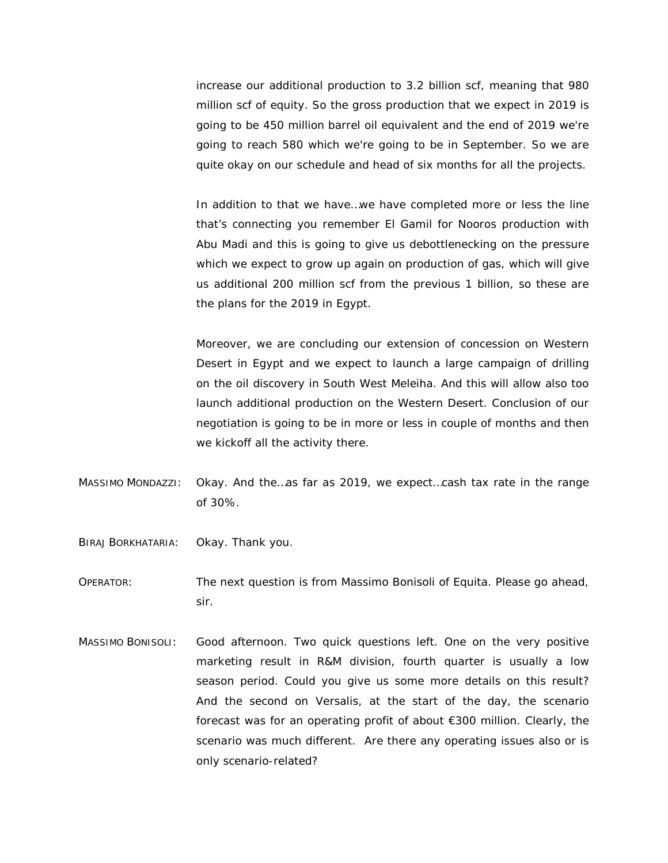increase our additional production to 3.2 billion scf, meaning that 980 million scf of equity. So the gross production that we expect in 2019 is going to be 450 million barrel oil equivalent and the end of 2019 we're going to reach 580 which we're going to be in September. So we are quite okay on our schedule and head of six months for all the projects.

In addition to that we have…we have completed more or less the line that's connecting you remember El Gamil for Nooros production with Abu Madi and this is going to give us debottlenecking on the pressure which we expect to grow up again on production of gas, which will give us additional 200 million scf from the previous 1 billion, so these are the plans for the 2019 in Egypt.

Moreover, we are concluding our extension of concession on Western Desert in Egypt and we expect to launch a large campaign of drilling on the oil discovery in South West Meleiha. And this will allow also too launch additional production on the Western Desert. Conclusion of our negotiation is going to be in more or less in couple of months and then we kickoff all the activity there.

- MASSIMO MONDAZZI: Okay. And the…as far as 2019, we expect…cash tax rate in the range of 30%.
- BIRAJ BORKHATARIA: Okay. Thank you.
- OPERATOR: The next question is from Massimo Bonisoli of Equita. Please go ahead, sir.
- MASSIMO BONISOLI: Good afternoon. Two quick questions left. One on the very positive marketing result in R&M division, fourth quarter is usually a low season period. Could you give us some more details on this result? And the second on Versalis, at the start of the day, the scenario forecast was for an operating profit of about  $\epsilon$ 300 million. Clearly, the scenario was much different. Are there any operating issues also or is only scenario-related?